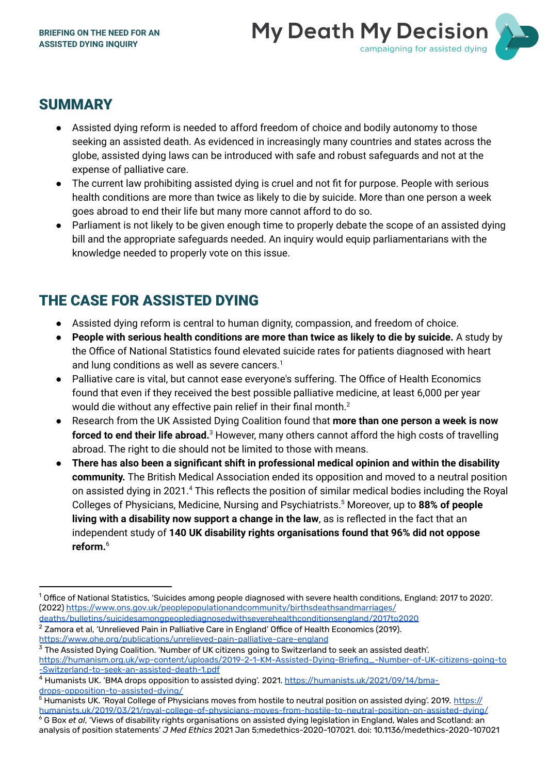

## **SUMMARY**

- Assisted dying reform is needed to afford freedom of choice and bodily autonomy to those seeking an assisted death. As evidenced in increasingly many countries and states across the globe, assisted dying laws can be introduced with safe and robust safeguards and not at the expense of palliative care.
- The current law prohibiting assisted dying is cruel and not fit for purpose. People with serious health conditions are more than twice as likely to die by suicide. More than one person a week goes abroad to end their life but many more cannot afford to do so.
- Parliament is not likely to be given enough time to properly debate the scope of an assisted dying bill and the appropriate safeguards needed. An inquiry would equip parliamentarians with the knowledge needed to properly vote on this issue.

## THE CASE FOR ASSISTED DYING

- Assisted dying reform is central to human dignity, compassion, and freedom of choice.
- **People with serious health conditions are more than twice as likely to die by suicide.** A study by the Office of National Statistics found elevated suicide rates for patients diagnosed with heart and lung conditions as well as severe cancers. 1
- Palliative care is vital, but cannot ease everyone's suffering. The Office of Health Economics found that even if they received the best possible palliative medicine, at least 6,000 per year would die without any effective pain relief in their final month. $^2$
- Research from the UK Assisted Dying Coalition found that **more than one person a week is now forced to end their life abroad.** <sup>3</sup> However, many others cannot afford the high costs of travelling abroad. The right to die should not be limited to those with means.
- **There has also been a significant shift in professional medical opinion and within the disability community.** The British Medical Association ended its opposition and moved to a neutral position on assisted dying in 2021.<sup>4</sup> This reflects the position of similar medical bodies including the Royal Colleges of Physicians, Medicine, Nursing and Psychiatrists. <sup>5</sup> Moreover, up to **88% of people living with a disability now support a change in the law**, as is reflected in the fact that an independent study of **140 UK disability rights organisations found that 96% did not oppose reform.** 6

<sup>2</sup> Zamora et al, 'Unrelieved Pain in Palliative Care in England' Office of Health Economics (2019). <https://www.ohe.org/publications/unrelieved-pain-palliative-care-england> [deaths/bulletins/suicidesamongpeoplediagnosedwithseverehealthconditionsengland/2017to2020](https://www.ons.gov.uk/peoplepopulationandcommunity/birthsdeathsandmarriages/deaths/bulletins/suicidesamongpeoplediagnosedwithseverehealthconditionsengland/2017to2020)

<sup>3</sup> The Assisted Dying Coalition. 'Number of UK citizens going to Switzerland to seek an assisted death'. [https://humanism.org.uk/wp-content/uploads/2019-2-1-KM-Assisted-Dying-Briefing\\_-Number-of-UK-citizens-going-to](https://humanism.org.uk/wp-content/uploads/2019-2-1-KM-Assisted-Dying-Briefing_-Number-of-UK-citizens-going-to-Switzerland-to-seek-an-assisted-death-1.pdf) [-Switzerland-to-seek-an-assisted-death-1.pdf](https://humanism.org.uk/wp-content/uploads/2019-2-1-KM-Assisted-Dying-Briefing_-Number-of-UK-citizens-going-to-Switzerland-to-seek-an-assisted-death-1.pdf)

analysis of position statements' *J Med Ethics* 2021 Jan 5;medethics-2020-107021. doi: 10.1136/medethics-2020-107021

 $^{\rm 1}$  Office of National Statistics, 'Suicides among people diagnosed with severe health conditions, England: 2017 to 2020'. (2022) [https://www.ons.gov.uk/peoplepopulationandcommunity/birthsdeathsandmarriages/](https://www.ons.gov.uk/peoplepopulationandcommunity/birthsdeathsandmarriages/deaths/bulletins/suicidesamongpeoplediagnosedwithseverehealthconditionsengland/2017to2020)

<sup>&</sup>lt;sup>4</sup> Humanists UK. 'BMA drops opposition to assisted dying'. 2021. [https://humanists.uk/2021/09/14/bma](https://humanists.uk/2021/09/14/bma-drops-opposition-to-assisted-dying/)[drops-opposition-to-assisted-dying/](https://humanists.uk/2021/09/14/bma-drops-opposition-to-assisted-dying/)

<sup>6</sup> G Box *et al*, 'Views of disability rights organisations on assisted dying legislation in England, Wales and Scotland: an <sup>5</sup> Humanists UK. 'Royal College of Physicians moves from hostile to neutral position on assisted dying'. 2019. [https://](https://humanists.uk/2019/03/21/royal-college-of-physicians-moves-from-hostile-to-neutral-position-on-assisted-dying/) [humanists.uk/2019/03/21/royal-college-of-physicians-moves-from-hostile-to-neutral-position-on-assisted-dying/](https://humanists.uk/2019/03/21/royal-college-of-physicians-moves-from-hostile-to-neutral-position-on-assisted-dying/)